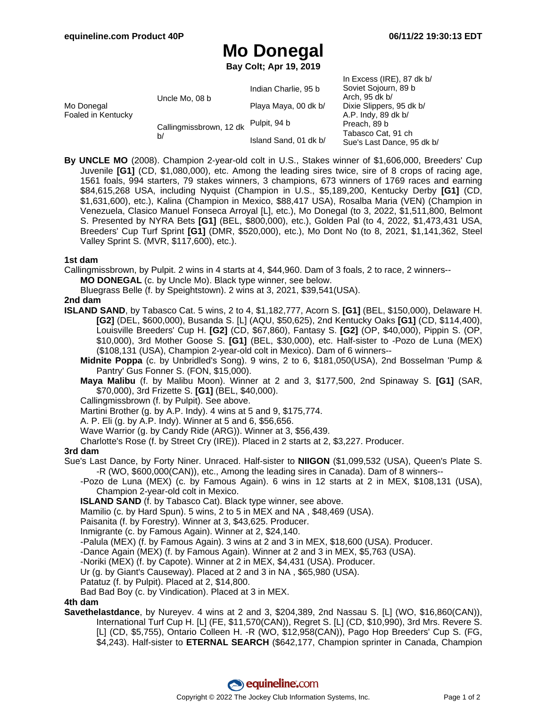$In Fyspace (IDF)$ , 87 dk b/

# **Mo Donegal**

**Bay Colt; Apr 19, 2019**

|                                                     | Indian Charlie, 95 b  | III EXUBSS $IINEJ, OI$ UK D/<br>Soviet Sojourn, 89 b<br>Arch, 95 dk b/<br>Dixie Slippers, 95 dk b/<br>A.P. Indy, 89 dk b/<br>Preach, 89 b<br>Tabasco Cat, 91 ch<br>Sue's Last Dance, 95 dk b/ |
|-----------------------------------------------------|-----------------------|-----------------------------------------------------------------------------------------------------------------------------------------------------------------------------------------------|
| Uncle Mo, 08 b                                      | Playa Maya, 00 dk b/  |                                                                                                                                                                                               |
| Foaled in Kentucky<br>Callingmissbrown, 12 dk<br>b/ | Pulpit, 94 b          |                                                                                                                                                                                               |
|                                                     | Island Sand, 01 dk b/ |                                                                                                                                                                                               |
|                                                     |                       |                                                                                                                                                                                               |

**By UNCLE MO** (2008). Champion 2-year-old colt in U.S., Stakes winner of \$1,606,000, Breeders' Cup Juvenile **[G1]** (CD, \$1,080,000), etc. Among the leading sires twice, sire of 8 crops of racing age, 1561 foals, 994 starters, 79 stakes winners, 3 champions, 673 winners of 1769 races and earning \$84,615,268 USA, including Nyquist (Champion in U.S., \$5,189,200, Kentucky Derby **[G1]** (CD, \$1,631,600), etc.), Kalina (Champion in Mexico, \$88,417 USA), Rosalba Maria (VEN) (Champion in Venezuela, Clasico Manuel Fonseca Arroyal [L], etc.), Mo Donegal (to 3, 2022, \$1,511,800, Belmont S. Presented by NYRA Bets **[G1]** (BEL, \$800,000), etc.), Golden Pal (to 4, 2022, \$1,473,431 USA, Breeders' Cup Turf Sprint **[G1]** (DMR, \$520,000), etc.), Mo Dont No (to 8, 2021, \$1,141,362, Steel Valley Sprint S. (MVR, \$117,600), etc.).

#### **1st dam**

Callingmissbrown, by Pulpit. 2 wins in 4 starts at 4, \$44,960. Dam of 3 foals, 2 to race, 2 winners--

**MO DONEGAL** (c. by Uncle Mo). Black type winner, see below.

Bluegrass Belle (f. by Speightstown). 2 wins at 3, 2021, \$39,541(USA).

## **2nd dam**

- **ISLAND SAND**, by Tabasco Cat. 5 wins, 2 to 4, \$1,182,777, Acorn S. **[G1]** (BEL, \$150,000), Delaware H. **[G2]** (DEL, \$600,000), Busanda S. [L] (AQU, \$50,625), 2nd Kentucky Oaks **[G1]** (CD, \$114,400), Louisville Breeders' Cup H. **[G2]** (CD, \$67,860), Fantasy S. **[G2]** (OP, \$40,000), Pippin S. (OP, \$10,000), 3rd Mother Goose S. **[G1]** (BEL, \$30,000), etc. Half-sister to -Pozo de Luna (MEX) (\$108,131 (USA), Champion 2-year-old colt in Mexico). Dam of 6 winners--
	- **Midnite Poppa** (c. by Unbridled's Song). 9 wins, 2 to 6, \$181,050(USA), 2nd Bosselman 'Pump & Pantry' Gus Fonner S. (FON, \$15,000).
	- **Maya Malibu** (f. by Malibu Moon). Winner at 2 and 3, \$177,500, 2nd Spinaway S. **[G1]** (SAR, \$70,000), 3rd Frizette S. **[G1]** (BEL, \$40,000).

Callingmissbrown (f. by Pulpit). See above.

Martini Brother (g. by A.P. Indy). 4 wins at 5 and 9, \$175,774.

A. P. Eli (g. by A.P. Indy). Winner at 5 and 6, \$56,656.

Wave Warrior (g. by Candy Ride (ARG)). Winner at 3, \$56,439.

Charlotte's Rose (f. by Street Cry (IRE)). Placed in 2 starts at 2, \$3,227. Producer.

## **3rd dam**

Sue's Last Dance, by Forty Niner. Unraced. Half-sister to **NIIGON** (\$1,099,532 (USA), Queen's Plate S. -R (WO, \$600,000(CAN)), etc., Among the leading sires in Canada). Dam of 8 winners--

-Pozo de Luna (MEX) (c. by Famous Again). 6 wins in 12 starts at 2 in MEX, \$108,131 (USA), Champion 2-year-old colt in Mexico.

**ISLAND SAND** (f. by Tabasco Cat). Black type winner, see above.

Mamilio (c. by Hard Spun). 5 wins, 2 to 5 in MEX and NA , \$48,469 (USA).

Paisanita (f. by Forestry). Winner at 3, \$43,625. Producer.

Inmigrante (c. by Famous Again). Winner at 2, \$24,140.

-Palula (MEX) (f. by Famous Again). 3 wins at 2 and 3 in MEX, \$18,600 (USA). Producer.

-Dance Again (MEX) (f. by Famous Again). Winner at 2 and 3 in MEX, \$5,763 (USA).

-Noriki (MEX) (f. by Capote). Winner at 2 in MEX, \$4,431 (USA). Producer.

Ur (g. by Giant's Causeway). Placed at 2 and 3 in NA , \$65,980 (USA).

Patatuz (f. by Pulpit). Placed at 2, \$14,800.

Bad Bad Boy (c. by Vindication). Placed at 3 in MEX.

#### **4th dam**

**Savethelastdance**, by Nureyev. 4 wins at 2 and 3, \$204,389, 2nd Nassau S. [L] (WO, \$16,860(CAN)), International Turf Cup H. [L] (FE, \$11,570(CAN)), Regret S. [L] (CD, \$10,990), 3rd Mrs. Revere S. [L] (CD, \$5,755), Ontario Colleen H. -R (WO, \$12,958(CAN)), Pago Hop Breeders' Cup S. (FG, \$4,243). Half-sister to **ETERNAL SEARCH** (\$642,177, Champion sprinter in Canada, Champion